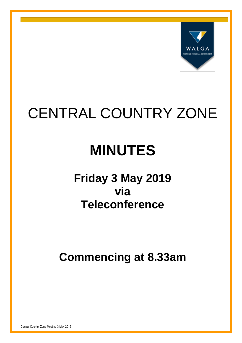

# CENTRAL COUNTRY ZONE

# **MINUTES**

# **Friday 3 May 2019 via Teleconference**

**Commencing at 8.33am**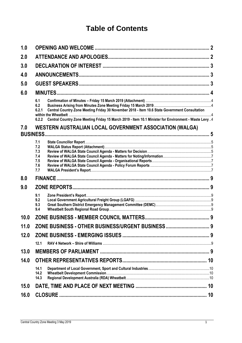## **Table of Contents**

| 1.0  |                                                                                                                                                                                                                                         |  |  |  |
|------|-----------------------------------------------------------------------------------------------------------------------------------------------------------------------------------------------------------------------------------------|--|--|--|
| 2.0  |                                                                                                                                                                                                                                         |  |  |  |
| 3.0  |                                                                                                                                                                                                                                         |  |  |  |
| 4.0  |                                                                                                                                                                                                                                         |  |  |  |
| 5.0  |                                                                                                                                                                                                                                         |  |  |  |
| 6.0  |                                                                                                                                                                                                                                         |  |  |  |
|      | 6.1<br>6.2<br>Central Country Zone Meeting Friday 30 November 2018 - Item 10.6 State Government Consultation<br>6.2.1<br>Central Country Zone Meeting Friday 15 March 2019 - Item 10.1 Minister for Environment - Waste Levy 4<br>6.2.2 |  |  |  |
| 7.0  | WESTERN AUSTRALIAN LOCAL GOVERNMENT ASSOCIATION (WALGA)<br><b>BUSINESS.</b>                                                                                                                                                             |  |  |  |
|      | 7.1<br>7.2<br>7.3<br>7.4<br>7.5<br>7.6<br>7.7                                                                                                                                                                                           |  |  |  |
| 8.0  |                                                                                                                                                                                                                                         |  |  |  |
| 9.0  |                                                                                                                                                                                                                                         |  |  |  |
|      | 9.1<br>9.2<br>9.3<br>9.4                                                                                                                                                                                                                |  |  |  |
| 10.0 |                                                                                                                                                                                                                                         |  |  |  |
| 11.0 | ZONE BUSINESS - OTHER BUSINESS/URGENT BUSINESS  9                                                                                                                                                                                       |  |  |  |
| 12.0 | 12.1                                                                                                                                                                                                                                    |  |  |  |
| 13.0 |                                                                                                                                                                                                                                         |  |  |  |
| 14.0 | 14.1<br>14.2                                                                                                                                                                                                                            |  |  |  |
| 15.0 | 14.3                                                                                                                                                                                                                                    |  |  |  |
| 16.0 |                                                                                                                                                                                                                                         |  |  |  |
|      |                                                                                                                                                                                                                                         |  |  |  |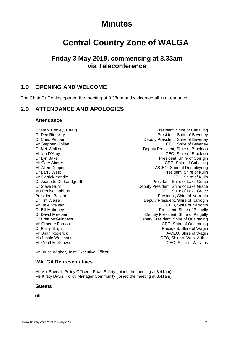## **Minutes**

# **Central Country Zone of WALGA**

## **Friday 3 May 2019, commencing at 8.33am via Teleconference**

## <span id="page-2-0"></span>**1.0 OPENING AND WELCOME**

The Chair Cr Conley opened the meeting at 8.33am and welcomed all in attendance.

## <span id="page-2-1"></span>**2.0 ATTENDANCE AND APOLOGIES**

#### **Attendance**

Mr Garrick Yandle

Cr Mark Conley (Chair) **President**, Shire of Cuballing Cr Dee Ridgway **President, Shire of Beverley** Cr Chris Pepper **Deputy President, Shire of Beverley** Mr Stephen Gollan CEO, Shire of Beverley Cr Neil Walker Deputy President, Shire of Brookton Mr Ian D'Arcy CEO, Shire of Brookton<br>
CEO, Shire of Brookton<br>
Cr Lyn Baker President, Shire of Corrigin Cr Lyn Baker<br>
Mr Gary Sherry<br>
Mr Gary Sherry 
CEO, Shire of Cuballing CEO, Shire of Cuballing Mr Allen Cooper **A/CEO**, Shire of Dumbleyung Cr Barry West<br>
Mr Garrick Yandle<br>
Mr Garrick Yandle Cr Jeanette De Landgrafft **President** President, Shire of Lake Grace Cr Steve Hunt Deputy President, Shire of Lake Grace Ms Denise Gobbart CEO, Shire of Lake Grace President Ballard **President Ballard** President, Shire of Narrogin Cr Tim Weise Deputy President, Shire of Narrogin Mr Dale Stewart CEO, Shire of Narrogin Cr Bill Mulroney **President, Shire of Pingelly** Cr David Freebairn **Deputy President, Shire of Pingelly** Cr Brett McGuinness Deputy President, Shire of Quairading Mr Graeme Fardon CEO, Shire of Quairading Cr Phillip Blight **President**, Shire of Wagin Mr Brian Roderick **A/CEO, Shire of Wagin** Mr Brian A/CEO, Shire of Wagin Ms Nicole Wasmann CEO, Shire of West Arthur CEO. Shire of Williams

Mr Bruce Wittber, Joint Executive Officer

#### **WALGA Representatives**

Mr Mal Shervill, Policy Officer – Road Safety (joined the meeting at 8.41am) Ms Kirsty Davis, Policy Manager Community (joined the meeting at 8.41am)

#### **Guests**

Nil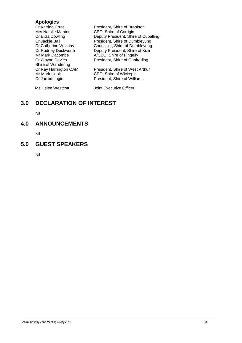## **Apologies**

| <b>Cr Katrina Crute</b><br>Mrs Natalie Manton<br>Cr Eliza Dowling | President, Shire of Brookton<br>CEO, Shire of Corrigin<br>Deputy President, Shire of Cuballing |
|-------------------------------------------------------------------|------------------------------------------------------------------------------------------------|
| Cr Jackie Ball                                                    | President, Shire of Dumbleyung                                                                 |
| <b>Cr Catherine Watkins</b>                                       | Councillor, Shire of Dumbleyung                                                                |
| Cr Rodney Duckworth<br>Mr Mark Dacombe                            | Deputy President, Shire of Kulin                                                               |
| Cr Wayne Davies<br>Shire of Wandering                             | A/CEO, Shire of Pingelly<br>President, Shire of Quairading                                     |
| Cr Ray Harrington OAM<br>Mr Mark Hook                             | President, Shire of West Arthur<br>CEO, Shire of Wickepin                                      |
| Cr Jarrod Logie                                                   | President, Shire of Williams                                                                   |
| Ms Helen Westcott                                                 | Joint Executive Officer                                                                        |

## <span id="page-3-0"></span>**3.0 DECLARATION OF INTEREST**

Nil

## <span id="page-3-1"></span>**4.0 ANNOUNCEMENTS**

Nil

## <span id="page-3-2"></span>**5.0 GUEST SPEAKERS**

Nil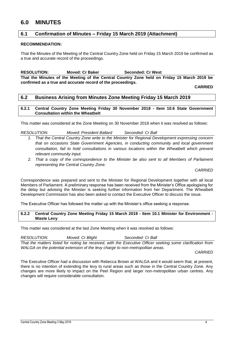## <span id="page-4-0"></span>**6.0 MINUTES**

#### <span id="page-4-1"></span>**6.1 Confirmation of Minutes – Friday 15 March 2019 (Attachment)**

#### **RECOMMENDATION:**

That the Minutes of the Meeting of the Central Country Zone held on Friday 15 March 2019 be confirmed as a true and accurate record of the proceedings.

**RESOLUTION: Moved: Cr Baker Seconded: Cr West That the Minutes of the Meeting of the Central Country Zone held on Friday 15 March 2019 be confirmed as a true and accurate record of the proceedings.**

**CARRIED**

#### <span id="page-4-2"></span>**6.2 Business Arising from Minutes Zone Meeting Friday 15 March 2019**

<span id="page-4-3"></span>**6.2.1 Central Country Zone Meeting Friday 30 November 2018 - Item 10.6 State Government Consultation within the Wheatbelt**

This matter was considered at the Zone Meeting on 30 November 2018 when it was resolved as follows:

#### *RESOLUTION: Moved: President Ballard Seconded: Cr Ball*

- *1. That the Central Country Zone write to the Minister for Regional Development expressing concern that on occasions State Government Agencies, in conducting community and local government consultation, fail to hold consultations in various locations within the Wheatbelt which prevent relevant community input.*
- *2. That a copy of the correspondence to the Minister be also sent to all Members of Parliament representing the Central Country Zone.*

*CARRIED*

Correspondence was prepared and sent to the Minister for Regional Development together with all local Members of Parliament. A preliminary response has been received from the Minister's Office apologising for the delay but advising the Minister is seeking further information from her Department. The Wheatbelt Development Commission has also been asked to contact the Executive Officer to discuss the issue.

The Executive Officer has followed the matter up with the Minister's office seeking a response.

#### <span id="page-4-4"></span>**6.2.2 Central Country Zone Meeting Friday 15 March 2019 - Item 10.1 Minister for Environment - Waste Levy**

This matter was considered at the last Zone Meeting when it was resolved as follows:

*RESOLUTION: Moved: Cr Blight Seconded: Cr Ball That the matters listed for noting be received, with the Executive Officer seeking some clarification from WALGA on the potential extension of the levy charge to non-metropolitan areas.*

*CARRIED*

The Executive Officer had a discussion with Rebecca Brown at WALGA and it would seem that, at present, there is no intention of extending the levy to rural areas such as those in the Central Country Zone. Any changes are more likely to impact on the Peel Region and larger non-metropolitan urban centres. Any changes will require considerable consultation.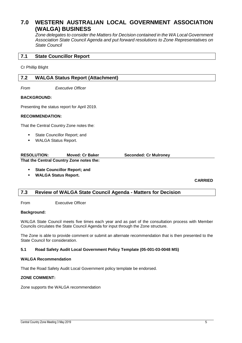## <span id="page-5-0"></span>**7.0 WESTERN AUSTRALIAN LOCAL GOVERNMENT ASSOCIATION (WALGA) BUSINESS**

*Zone delegates to consider the Matters for Decision contained in the WA Local Government Association State Council Agenda and put forward resolutions to Zone Representatives on State Council*

#### <span id="page-5-1"></span>**7.1 State Councillor Report**

Cr Phillip Blight

#### <span id="page-5-2"></span>**7.2 WALGA Status Report (Attachment)**

*From Executive Officer*

#### **BACKGROUND:**

Presenting the status report for April 2019.

#### **RECOMMENDATION:**

That the Central Country Zone notes the:

- State Councillor Report; and
- **WALGA Status Report.**

| <b>RESOLUTION:</b> | Moved: Cr Baker                          | <b>Seconded: Cr Mulroney</b> |
|--------------------|------------------------------------------|------------------------------|
|                    | That the Central Country Zone notes the: |                              |

**State Councillor Report; and** 

**WALGA Status Report.**

**CARRIED**

#### <span id="page-5-3"></span>**7.3 Review of WALGA State Council Agenda - Matters for Decision**

From Executive Officer

#### **Background:**

WALGA State Council meets five times each year and as part of the consultation process with Member Councils circulates the State Council Agenda for input through the Zone structure.

The Zone is able to provide comment or submit an alternate recommendation that is then presented to the State Council for consideration.

#### **5.1 Road Safety Audit Local Government Policy Template (05-001-03-0048 MS)**

#### **WALGA Recommendation**

That the Road Safety Audit Local Government policy template be endorsed.

#### **ZONE COMMENT:**

Zone supports the WALGA recommendation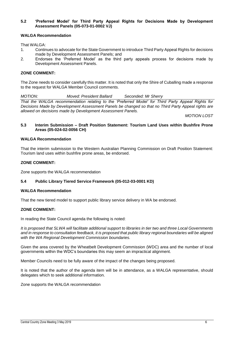#### **5.2 'Preferred Model' for Third Party Appeal Rights for Decisions Made by Development Assessment Panels (05-073-01-0002 VJ)**

#### **WALGA Recommendation**

That WALGA:

- 1. Continues to advocate for the State Government to introduce Third Party Appeal Rights for decisions made by Development Assessment Panels; and
- 2. Endorses the 'Preferred Model' as the third party appeals process for decisions made by Development Assessment Panels.

#### **ZONE COMMENT:**

The Zone needs to consider carefully this matter. It is noted that only the Shire of Cuballing made a response to the request for WALGA Member Council comments.

*MOTION: Moved: President Ballard Seconded: Mr Sherry*

*That the WALGA recommendation relating to the 'Preferred Model' for Third Party Appeal Rights for Decisions Made by Development Assessment Panels be changed so that no Third Party Appeal rights are allowed on decisions made by Development Assessment Panels.*

*MOTION LOST*

#### **5.3 Interim Submission – Draft Position Statement: Tourism Land Uses within Bushfire Prone Areas (05-024-02-0056 CH)**

#### **WALGA Recommendation**

That the interim submission to the Western Australian Planning Commission on Draft Position Statement: Tourism land uses within bushfire prone areas, be endorsed.

#### **ZONE COMMENT:**

Zone supports the WALGA recommendation

#### **5.4 Public Library Tiered Service Framework (05-012-03-0001 KD)**

#### **WALGA Recommendation**

That the new tiered model to support public library service delivery in WA be endorsed.

#### **ZONE COMMENT:**

In reading the State Council agenda the following is noted:

*It is proposed that SLWA will facilitate additional support to libraries in tier two and three Local Governments and in response to consultation feedback, it is proposed that public library regional boundaries will be aligned with the WA Regional Development Commission boundaries.*

Given the area covered by the Wheatbelt Development Commission (WDC) area and the number of local governments within the WDC's boundaries this may seem an impractical alignment.

Member Councils need to be fully aware of the impact of the changes being proposed.

It is noted that the author of the agenda item will be in attendance, as a WALGA representative, should delegates which to seek additional information.

Zone supports the WALGA recommendation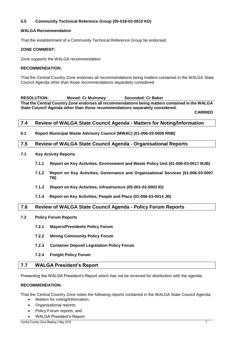#### **5.5 Community Technical Reference Group (05-018-02-0010 KD)**

#### **WALGA Recommendation**

That the establishment of a Community Technical Reference Group be endorsed.

#### **ZONE COMMENT:**

Zone supports the WALGA recommendation

#### **RECOMMENDATION:**

That the Central Country Zone endorses all recommendations being matters contained in the WALGA State Council Agenda other than those recommendations separately considered.

**RESOLUTION: Moved: Cr Mulroney Seconded: Cr Baker That the Central Country Zone endorses all recommendations being matters contained in the WALGA State Council Agenda other than those recommendations separately considered.**

**CARRIED**

#### <span id="page-7-0"></span>**7.4 Review of WALGA State Council Agenda - Matters for Noting/Information**

**6.1 Report Municipal Waste Advisory Council (MWAC) (01-006-03-0008 RNB)**

#### <span id="page-7-1"></span>**7.5 Review of WALGA State Council Agenda - Organisational Reports**

- **7.1 Key Activity Reports**
	- **7.1.1 Report on Key Activities, Environment and Waste Policy Unit (01-006-03-0017 MJB)**
	- **7.1.2 Report on Key Activities, Governance and Organisational Services (01-006-03-0007 TB)**
	- **7.1.3 Report on Key Activities, Infrastructure (05-001-02-0003 ID)**
	- **7.1.4 Report on Key Activities, People and Place (01-006-03-0014 JB)**

#### <span id="page-7-2"></span>**7.6 Review of WALGA State Council Agenda - Policy Forum Reports**

- **7.2 Policy Forum Reports**
	- **7.2.1 Mayors/Presidents Policy Forum**
	- **7.2.2 Mining Community Policy Forum**
	- **7.2.3 Container Deposit Legislation Policy Forum**
	- **7.2.4 Freight Policy Forum**

#### <span id="page-7-3"></span>**7.7 WALGA President's Report**

Presenting the WALGA President's Report which has not be received for distribution with the agenda.

#### **RECOMMENDATION:**

That the Central Country Zone notes the following reports contained in the WALGA State Council Agenda:

- Matters for noting/Information;
- Organisational reports;
- Policy Forum reports; and
- WALGA President's Report.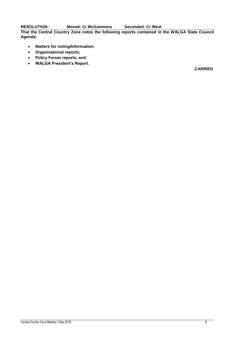**RESOLUTION: Moved: Cr McGuinness Seconded: Cr West**

**That the Central Country Zone notes the following reports contained in the WALGA State Council Agenda:**

- **Matters for noting/Information;**
- **Organisational reports;**
- **Policy Forum reports; and**
- **WALGA President's Report.**

**CARRIED**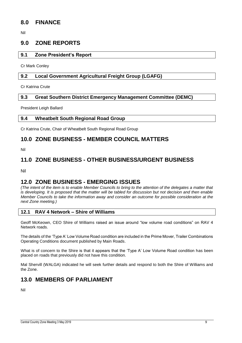## <span id="page-9-0"></span>**8.0 FINANCE**

Nil

## <span id="page-9-1"></span>**9.0 ZONE REPORTS**

#### <span id="page-9-2"></span>**9.1 Zone President's Report**

Cr Mark Conley

#### <span id="page-9-3"></span>**9.2 Local Government Agricultural Freight Group (LGAFG)**

Cr Katrina Crute

#### <span id="page-9-4"></span>**9.3 Great Southern District Emergency Management Committee (DEMC)**

President Leigh Ballard

#### <span id="page-9-5"></span>**9.4 Wheatbelt South Regional Road Group**

Cr Katrina Crute, Chair of Wheatbelt South Regional Road Group

## <span id="page-9-6"></span>**10.0 ZONE BUSINESS - MEMBER COUNCIL MATTERS**

Nil

## <span id="page-9-7"></span>**11.0 ZONE BUSINESS - OTHER BUSINESS/URGENT BUSINESS**

Nil

## <span id="page-9-8"></span>**12.0 ZONE BUSINESS - EMERGING ISSUES**

*(The intent of the item is to enable Member Councils to bring to the attention of the delegates a matter that is developing. It is proposed that the matter will be tabled for discussion but not decision and then enable Member Councils to take the information away and consider an outcome for possible consideration at the next Zone meeting.)* 

#### <span id="page-9-9"></span>**12.1 RAV 4 Network – Shire of Williams**

Geoff McKeown, CEO Shire of Williams raised an issue around "low volume road conditions" on RAV 4 Network roads.

The details of the 'Type A' Low Volume Road condition are included in the Prime Mover, Trailer Combinations Operating Conditions document published by Main Roads.

What is of concern to the Shire is that it appears that the 'Type A' Low Volume Road condition has been placed on roads that previously did not have this condition.

Mal Shervill (WALGA) indicated he will seek further details and respond to both the Shire of Williams and the Zone.

## <span id="page-9-10"></span>**13.0 MEMBERS OF PARLIAMENT**

Nil